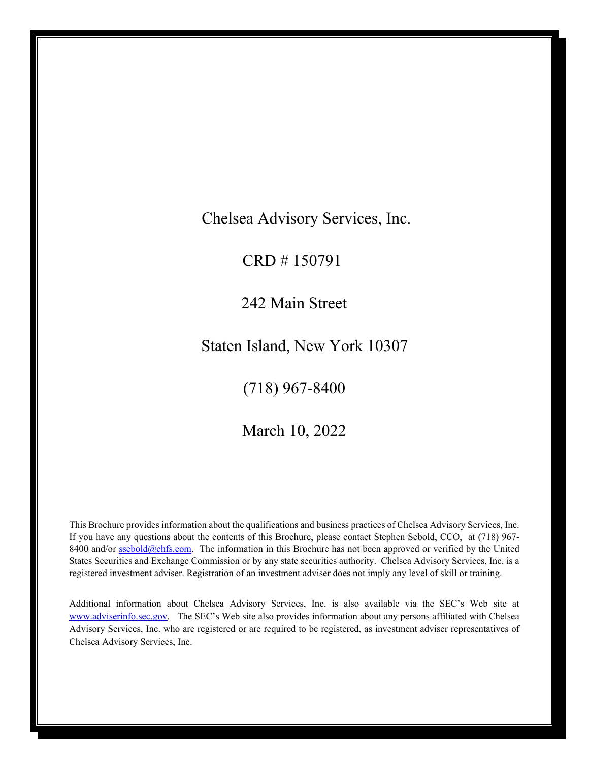Chelsea Advisory Services, Inc.

CRD # 150791

242 Main Street

Staten Island, New York 10307

(718) 967-8400

March 10, 2022

<span id="page-0-0"></span>This Brochure provides information about the qualifications and business practices of Chelsea Advisory Services, Inc. If you have any questions about the contents of this Brochure, please contact Stephen Sebold, CCO, at (718) 967 8400 and/or [ssebold@chfs.com.](mailto:ssebold@chfs.com) The information in this Brochure has not been approved or verified by the United States Securities and Exchange Commission or by any state securities authority. Chelsea Advisory Services, Inc. is a registered investment adviser. Registration of an investment adviser does not imply any level of skill or training.

Additional information about Chelsea Advisory Services, Inc. is also available via the SEC's Web site at [www.adviserinfo.sec.gov.](http://www.adviserinfo.sec.gov/) The SEC's Web site also provides information about any persons affiliated with Chelsea Advisory Services, Inc. who are registered or are required to be registered, as investment adviser representatives of Chelsea Advisory Services, Inc.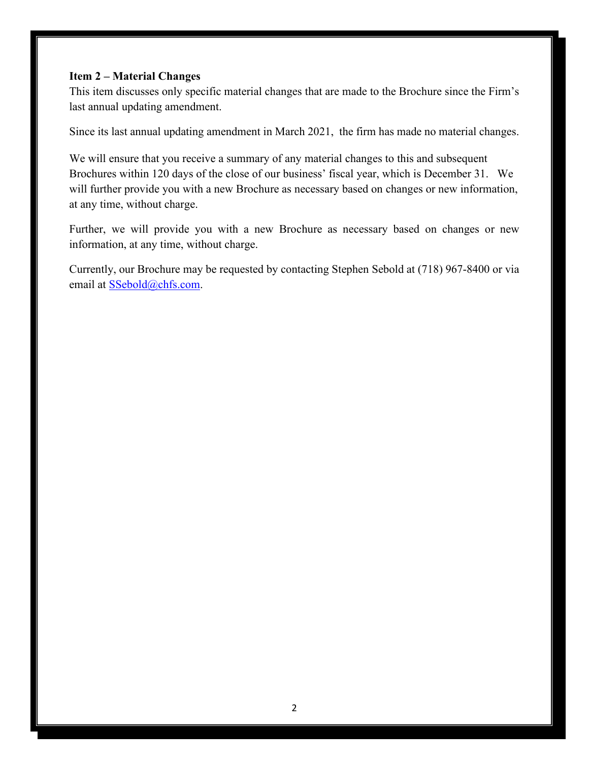## <span id="page-1-0"></span>**Item 2 – Material Changes**

This item discusses only specific material changes that are made to the Brochure since the Firm's last annual updating amendment.

Since its last annual updating amendment in March 2021, the firm has made no material changes.

We will ensure that you receive a summary of any material changes to this and subsequent Brochures within 120 days of the close of our business' fiscal year, which is December 31. We will further provide you with a new Brochure as necessary based on changes or new information, at any time, without charge.

Further, we will provide you with a new Brochure as necessary based on changes or new information, at any time, without charge.

Currently, our Brochure may be requested by contacting Stephen Sebold at (718) 967-8400 or via email at [SSebold@chfs.com](mailto:SSebold@chfs.com).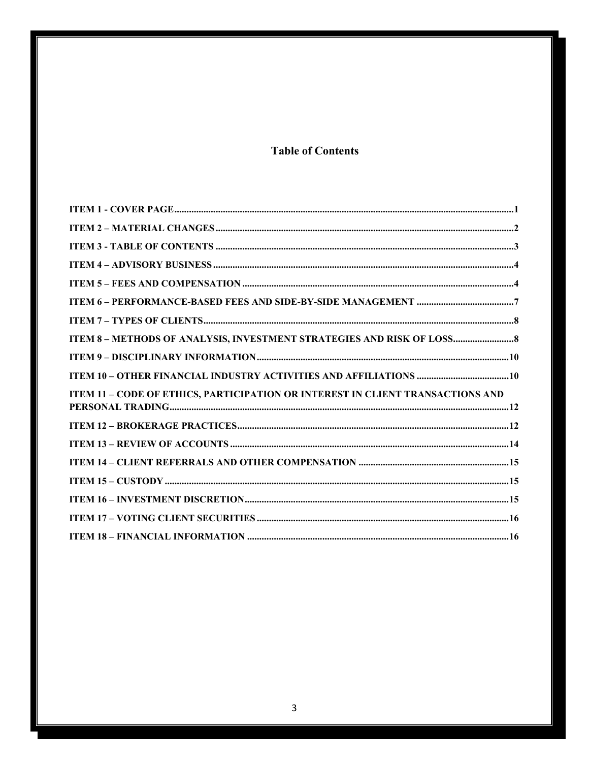# **Table of Contents**

<span id="page-2-0"></span>

| ITEM 8 - METHODS OF ANALYSIS, INVESTMENT STRATEGIES AND RISK OF LOSS           |  |
|--------------------------------------------------------------------------------|--|
|                                                                                |  |
|                                                                                |  |
| ITEM 11 - CODE OF ETHICS, PARTICIPATION OR INTEREST IN CLIENT TRANSACTIONS AND |  |
|                                                                                |  |
|                                                                                |  |
|                                                                                |  |
|                                                                                |  |
|                                                                                |  |
|                                                                                |  |
|                                                                                |  |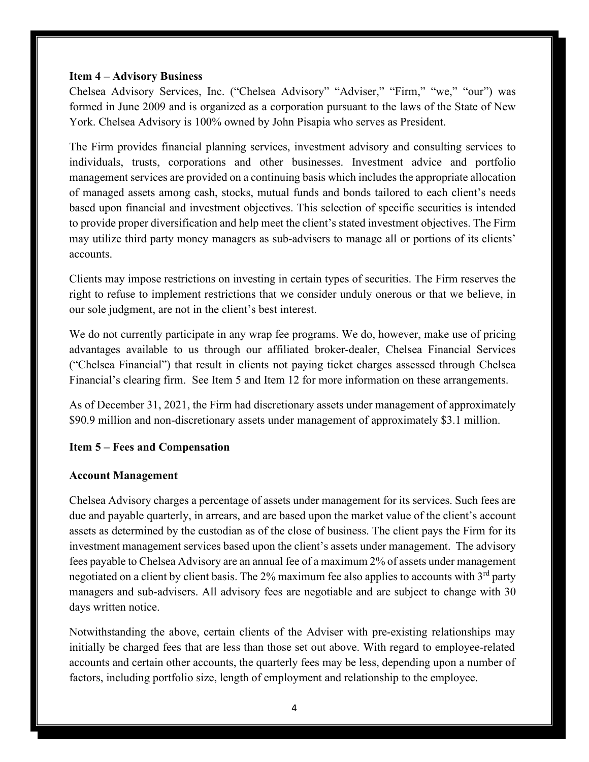#### <span id="page-3-0"></span>**Item 4 – Advisory Business**

Chelsea Advisory Services, Inc. ("Chelsea Advisory" "Adviser," "Firm," "we," "our") was formed in June 2009 and is organized as a corporation pursuant to the laws of the State of New York. Chelsea Advisory is 100% owned by John Pisapia who serves as President.

The Firm provides financial planning services, investment advisory and consulting services to individuals, trusts, corporations and other businesses. Investment advice and portfolio management services are provided on a continuing basis which includes the appropriate allocation of managed assets among cash, stocks, mutual funds and bonds tailored to each client's needs based upon financial and investment objectives. This selection of specific securities is intended to provide proper diversification and help meet the client's stated investment objectives. The Firm may utilize third party money managers as sub-advisers to manage all or portions of its clients' accounts.

Clients may impose restrictions on investing in certain types of securities. The Firm reserves the right to refuse to implement restrictions that we consider unduly onerous or that we believe, in our sole judgment, are not in the client's best interest.

We do not currently participate in any wrap fee programs. We do, however, make use of pricing advantages available to us through our affiliated broker-dealer, Chelsea Financial Services ("Chelsea Financial") that result in clients not paying ticket charges assessed through Chelsea Financial's clearing firm. See Item 5 and Item 12 for more information on these arrangements.

As of December 31, 2021, the Firm had discretionary assets under management of approximately \$90.9 million and non-discretionary assets under management of approximately \$3.1 million.

## <span id="page-3-1"></span>**Item 5 – Fees and Compensation**

### **Account Management**

Chelsea Advisory charges a percentage of assets under management for its services. Such fees are due and payable quarterly, in arrears, and are based upon the market value of the client's account assets as determined by the custodian as of the close of business. The client pays the Firm for its investment management services based upon the client's assets under management. The advisory fees payable to Chelsea Advisory are an annual fee of a maximum 2% of assets under management negotiated on a client by client basis. The 2% maximum fee also applies to accounts with 3<sup>rd</sup> party managers and sub-advisers. All advisory fees are negotiable and are subject to change with 30 days written notice.

Notwithstanding the above, certain clients of the Adviser with pre-existing relationships may initially be charged fees that are less than those set out above. With regard to employee-related accounts and certain other accounts, the quarterly fees may be less, depending upon a number of factors, including portfolio size, length of employment and relationship to the employee.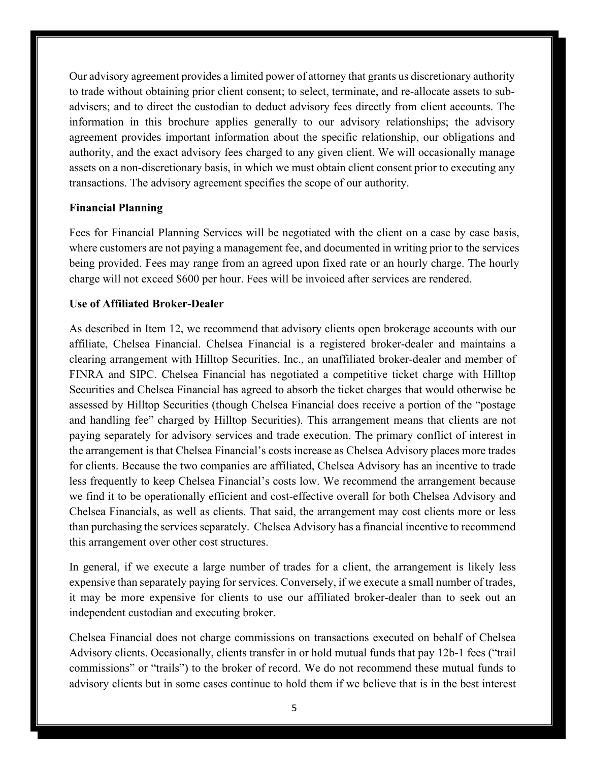Our advisory agreement provides a limited power of attorney that grants us discretionary authority to trade without obtaining prior client consent; to select, terminate, and re-allocate assets to subadvisers; and to direct the custodian to deduct advisory fees directly from client accounts. The information in this brochure applies generally to our advisory relationships; the advisory agreement provides important information about the specific relationship, our obligations and authority, and the exact advisory fees charged to any given client. We will occasionally manage assets on a non-discretionary basis, in which we must obtain client consent prior to executing any transactions. The advisory agreement specifies the scope of our authority.

#### **Financial Planning**

Fees for Financial Planning Services will be negotiated with the client on a case by case basis, where customers are not paying a management fee, and documented in writing prior to the services being provided. Fees may range from an agreed upon fixed rate or an hourly charge. The hourly charge will not exceed \$600 per hour. Fees will be invoiced after services are rendered.

## **Use of Affiliated Broker-Dealer**

As described in Item 12, we recommend that advisory clients open brokerage accounts with our affiliate, Chelsea Financial. Chelsea Financial is a registered broker-dealer and maintains a clearing arrangement with Hilltop Securities, Inc., an unaffiliated broker-dealer and member of FINRA and SIPC. Chelsea Financial has negotiated a competitive ticket charge with Hilltop Securities and Chelsea Financial has agreed to absorb the ticket charges that would otherwise be assessed by Hilltop Securities (though Chelsea Financial does receive a portion of the "postage and handling fee" charged by Hilltop Securities). This arrangement means that clients are not paying separately for advisory services and trade execution. The primary conflict of interest in the arrangement is that Chelsea Financial's costs increase as Chelsea Advisory places more trades for clients. Because the two companies are affiliated, Chelsea Advisory has an incentive to trade less frequently to keep Chelsea Financial's costs low. We recommend the arrangement because we find it to be operationally efficient and cost-effective overall for both Chelsea Advisory and Chelsea Financials, as well as clients. That said, the arrangement may cost clients more or less than purchasing the services separately. Chelsea Advisory has a financial incentive to recommend this arrangement over other cost structures.

In general, if we execute a large number of trades for a client, the arrangement is likely less expensive than separately paying for services. Conversely, if we execute a small number of trades, it may be more expensive for clients to use our affiliated broker-dealer than to seek out an independent custodian and executing broker.

Chelsea Financial does not charge commissions on transactions executed on behalf of Chelsea Advisory clients. Occasionally, clients transfer in or hold mutual funds that pay 12b-1 fees ("trail commissions" or "trails") to the broker of record. We do not recommend these mutual funds to advisory clients but in some cases continue to hold them if we believe that is in the best interest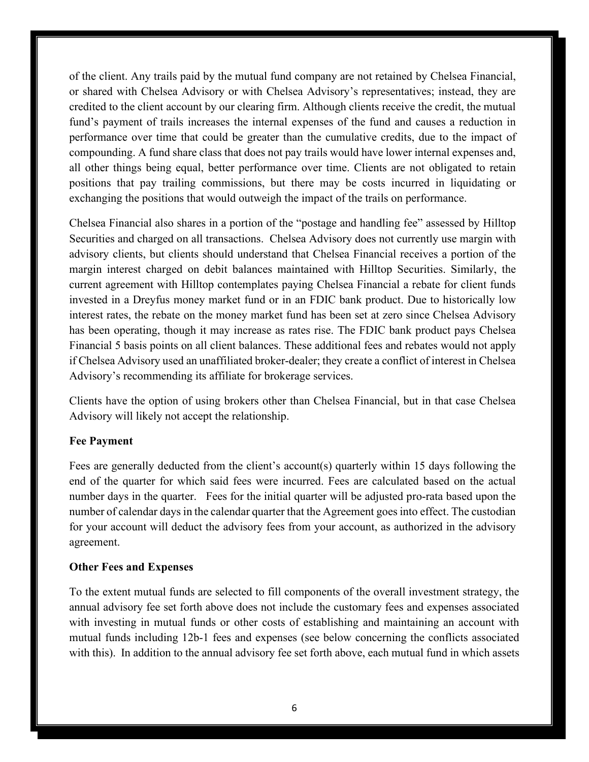of the client. Any trails paid by the mutual fund company are not retained by Chelsea Financial, or shared with Chelsea Advisory or with Chelsea Advisory's representatives; instead, they are credited to the client account by our clearing firm. Although clients receive the credit, the mutual fund's payment of trails increases the internal expenses of the fund and causes a reduction in performance over time that could be greater than the cumulative credits, due to the impact of compounding. A fund share class that does not pay trails would have lower internal expenses and, all other things being equal, better performance over time. Clients are not obligated to retain positions that pay trailing commissions, but there may be costs incurred in liquidating or exchanging the positions that would outweigh the impact of the trails on performance.

Chelsea Financial also shares in a portion of the "postage and handling fee" assessed by Hilltop Securities and charged on all transactions. Chelsea Advisory does not currently use margin with advisory clients, but clients should understand that Chelsea Financial receives a portion of the margin interest charged on debit balances maintained with Hilltop Securities. Similarly, the current agreement with Hilltop contemplates paying Chelsea Financial a rebate for client funds invested in a Dreyfus money market fund or in an FDIC bank product. Due to historically low interest rates, the rebate on the money market fund has been set at zero since Chelsea Advisory has been operating, though it may increase as rates rise. The FDIC bank product pays Chelsea Financial 5 basis points on all client balances. These additional fees and rebates would not apply if Chelsea Advisory used an unaffiliated broker-dealer; they create a conflict of interest in Chelsea Advisory's recommending its affiliate for brokerage services.

Clients have the option of using brokers other than Chelsea Financial, but in that case Chelsea Advisory will likely not accept the relationship.

#### **Fee Payment**

Fees are generally deducted from the client's account(s) quarterly within 15 days following the end of the quarter for which said fees were incurred. Fees are calculated based on the actual number days in the quarter. Fees for the initial quarter will be adjusted pro-rata based upon the number of calendar days in the calendar quarter that the Agreement goes into effect. The custodian for your account will deduct the advisory fees from your account, as authorized in the advisory agreement.

## **Other Fees and Expenses**

To the extent mutual funds are selected to fill components of the overall investment strategy, the annual advisory fee set forth above does not include the customary fees and expenses associated with investing in mutual funds or other costs of establishing and maintaining an account with mutual funds including 12b-1 fees and expenses (see below concerning the conflicts associated with this). In addition to the annual advisory fee set forth above, each mutual fund in which assets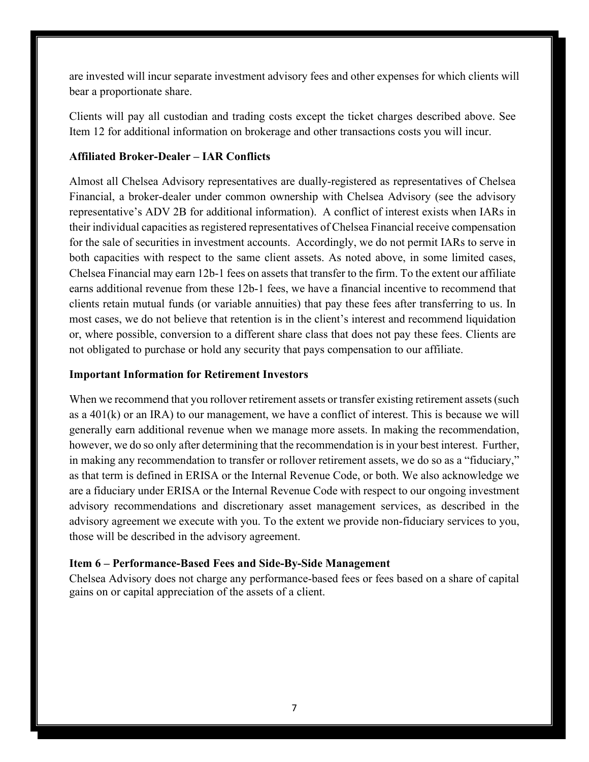are invested will incur separate investment advisory fees and other expenses for which clients will bear a proportionate share.

Clients will pay all custodian and trading costs except the ticket charges described above. See Item 12 for additional information on brokerage and other transactions costs you will incur.

## **Affiliated Broker-Dealer – IAR Conflicts**

Almost all Chelsea Advisory representatives are dually-registered as representatives of Chelsea Financial, a broker-dealer under common ownership with Chelsea Advisory (see the advisory representative's ADV 2B for additional information). A conflict of interest exists when IARs in their individual capacities as registered representatives of Chelsea Financial receive compensation for the sale of securities in investment accounts. Accordingly, we do not permit IARs to serve in both capacities with respect to the same client assets. As noted above, in some limited cases, Chelsea Financial may earn 12b-1 fees on assets that transfer to the firm. To the extent our affiliate earns additional revenue from these 12b-1 fees, we have a financial incentive to recommend that clients retain mutual funds (or variable annuities) that pay these fees after transferring to us. In most cases, we do not believe that retention is in the client's interest and recommend liquidation or, where possible, conversion to a different share class that does not pay these fees. Clients are not obligated to purchase or hold any security that pays compensation to our affiliate.

## **Important Information for Retirement Investors**

When we recommend that you rollover retirement assets or transfer existing retirement assets (such as a  $401(k)$  or an IRA) to our management, we have a conflict of interest. This is because we will generally earn additional revenue when we manage more assets. In making the recommendation, however, we do so only after determining that the recommendation is in your best interest. Further, in making any recommendation to transfer or rollover retirement assets, we do so as a "fiduciary," as that term is defined in ERISA or the Internal Revenue Code, or both. We also acknowledge we are a fiduciary under ERISA or the Internal Revenue Code with respect to our ongoing investment advisory recommendations and discretionary asset management services, as described in the advisory agreement we execute with you. To the extent we provide non-fiduciary services to you, those will be described in the advisory agreement.

## <span id="page-6-0"></span>**Item 6 – Performance-Based Fees and Side-By-Side Management**

Chelsea Advisory does not charge any performance-based fees or fees based on a share of capital gains on or capital appreciation of the assets of a client.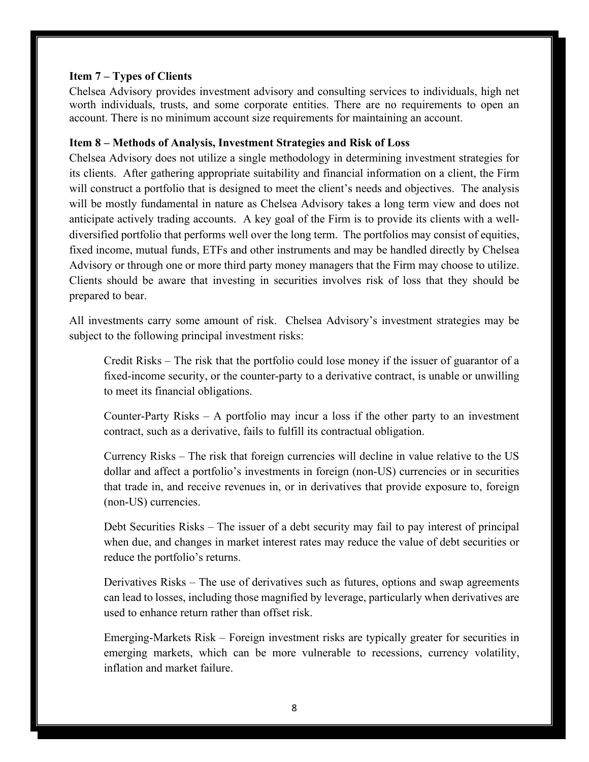### <span id="page-7-0"></span>**Item 7 – Types of Clients**

Chelsea Advisory provides investment advisory and consulting services to individuals, high net worth individuals, trusts, and some corporate entities. There are no requirements to open an account. There is no minimum account size requirements for maintaining an account.

### <span id="page-7-1"></span>**Item 8 – Methods of Analysis, Investment Strategies and Risk of Loss**

Chelsea Advisory does not utilize a single methodology in determining investment strategies for its clients. After gathering appropriate suitability and financial information on a client, the Firm will construct a portfolio that is designed to meet the client's needs and objectives. The analysis will be mostly fundamental in nature as Chelsea Advisory takes a long term view and does not anticipate actively trading accounts. A key goal of the Firm is to provide its clients with a welldiversified portfolio that performs well over the long term. The portfolios may consist of equities, fixed income, mutual funds, ETFs and other instruments and may be handled directly by Chelsea Advisory or through one or more third party money managers that the Firm may choose to utilize. Clients should be aware that investing in securities involves risk of loss that they should be prepared to bear.

All investments carry some amount of risk. Chelsea Advisory's investment strategies may be subject to the following principal investment risks:

Credit Risks – The risk that the portfolio could lose money if the issuer of guarantor of a fixed-income security, or the counter-party to a derivative contract, is unable or unwilling to meet its financial obligations.

Counter-Party Risks – A portfolio may incur a loss if the other party to an investment contract, such as a derivative, fails to fulfill its contractual obligation.

Currency Risks – The risk that foreign currencies will decline in value relative to the US dollar and affect a portfolio's investments in foreign (non-US) currencies or in securities that trade in, and receive revenues in, or in derivatives that provide exposure to, foreign (non-US) currencies.

Debt Securities Risks – The issuer of a debt security may fail to pay interest of principal when due, and changes in market interest rates may reduce the value of debt securities or reduce the portfolio's returns.

Derivatives Risks – The use of derivatives such as futures, options and swap agreements can lead to losses, including those magnified by leverage, particularly when derivatives are used to enhance return rather than offset risk.

Emerging-Markets Risk – Foreign investment risks are typically greater for securities in emerging markets, which can be more vulnerable to recessions, currency volatility, inflation and market failure.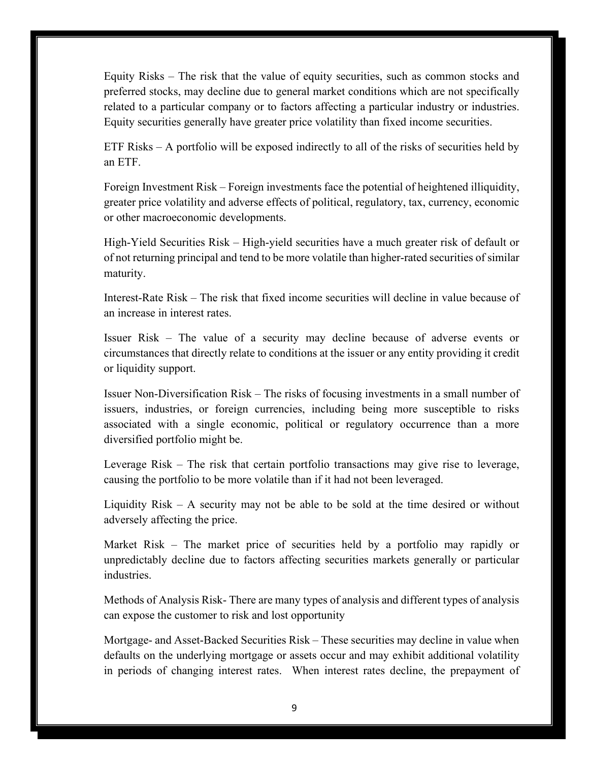Equity Risks – The risk that the value of equity securities, such as common stocks and preferred stocks, may decline due to general market conditions which are not specifically related to a particular company or to factors affecting a particular industry or industries. Equity securities generally have greater price volatility than fixed income securities.

ETF Risks – A portfolio will be exposed indirectly to all of the risks of securities held by an ETF.

Foreign Investment Risk – Foreign investments face the potential of heightened illiquidity, greater price volatility and adverse effects of political, regulatory, tax, currency, economic or other macroeconomic developments.

High-Yield Securities Risk – High-yield securities have a much greater risk of default or of not returning principal and tend to be more volatile than higher-rated securities of similar maturity.

Interest-Rate Risk – The risk that fixed income securities will decline in value because of an increase in interest rates.

Issuer Risk – The value of a security may decline because of adverse events or circumstances that directly relate to conditions at the issuer or any entity providing it credit or liquidity support.

Issuer Non-Diversification Risk – The risks of focusing investments in a small number of issuers, industries, or foreign currencies, including being more susceptible to risks associated with a single economic, political or regulatory occurrence than a more diversified portfolio might be.

Leverage Risk – The risk that certain portfolio transactions may give rise to leverage, causing the portfolio to be more volatile than if it had not been leveraged.

Liquidity Risk – A security may not be able to be sold at the time desired or without adversely affecting the price.

Market Risk – The market price of securities held by a portfolio may rapidly or unpredictably decline due to factors affecting securities markets generally or particular industries.

Methods of Analysis Risk- There are many types of analysis and different types of analysis can expose the customer to risk and lost opportunity

Mortgage- and Asset-Backed Securities Risk – These securities may decline in value when defaults on the underlying mortgage or assets occur and may exhibit additional volatility in periods of changing interest rates. When interest rates decline, the prepayment of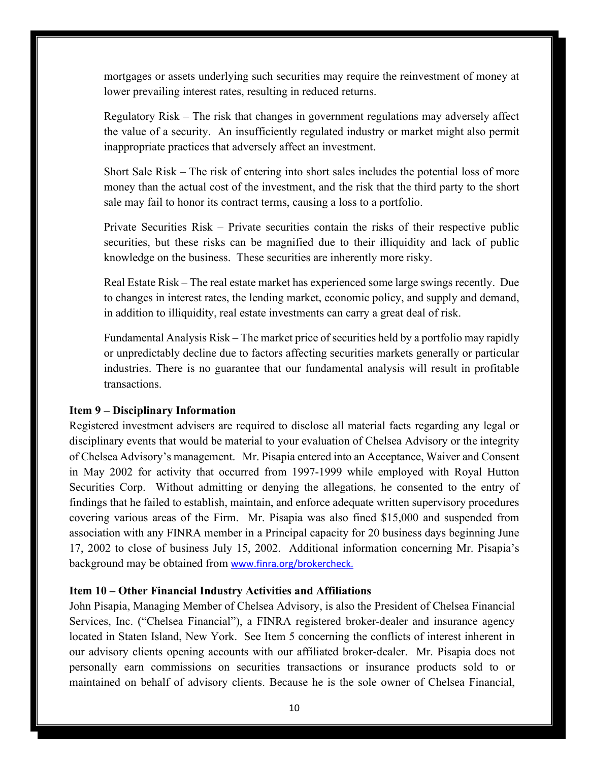mortgages or assets underlying such securities may require the reinvestment of money at lower prevailing interest rates, resulting in reduced returns.

Regulatory Risk – The risk that changes in government regulations may adversely affect the value of a security. An insufficiently regulated industry or market might also permit inappropriate practices that adversely affect an investment.

Short Sale Risk – The risk of entering into short sales includes the potential loss of more money than the actual cost of the investment, and the risk that the third party to the short sale may fail to honor its contract terms, causing a loss to a portfolio.

Private Securities Risk – Private securities contain the risks of their respective public securities, but these risks can be magnified due to their illiquidity and lack of public knowledge on the business. These securities are inherently more risky.

Real Estate Risk – The real estate market has experienced some large swings recently. Due to changes in interest rates, the lending market, economic policy, and supply and demand, in addition to illiquidity, real estate investments can carry a great deal of risk.

Fundamental Analysis Risk – The market price of securities held by a portfolio may rapidly or unpredictably decline due to factors affecting securities markets generally or particular industries. There is no guarantee that our fundamental analysis will result in profitable transactions.

## <span id="page-9-0"></span>**Item 9 – Disciplinary Information**

Registered investment advisers are required to disclose all material facts regarding any legal or disciplinary events that would be material to your evaluation of Chelsea Advisory or the integrity of Chelsea Advisory's management. Mr. Pisapia entered into an Acceptance, Waiver and Consent in May 2002 for activity that occurred from 1997-1999 while employed with Royal Hutton Securities Corp. Without admitting or denying the allegations, he consented to the entry of findings that he failed to establish, maintain, and enforce adequate written supervisory procedures covering various areas of the Firm. Mr. Pisapia was also fined \$15,000 and suspended from association with any FINRA member in a Principal capacity for 20 business days beginning June 17, 2002 to close of business July 15, 2002. Additional information concerning Mr. Pisapia's background may be obtained from [www.finra.org/brokercheck](http://www.finra.org/brokercheck).

#### <span id="page-9-1"></span>**Item 10 – Other Financial Industry Activities and Affiliations**

John Pisapia, Managing Member of Chelsea Advisory, is also the President of Chelsea Financial Services, Inc. ("Chelsea Financial"), a FINRA registered broker-dealer and insurance agency located in Staten Island, New York. See Item 5 concerning the conflicts of interest inherent in our advisory clients opening accounts with our affiliated broker-dealer. Mr. Pisapia does not personally earn commissions on securities transactions or insurance products sold to or maintained on behalf of advisory clients. Because he is the sole owner of Chelsea Financial,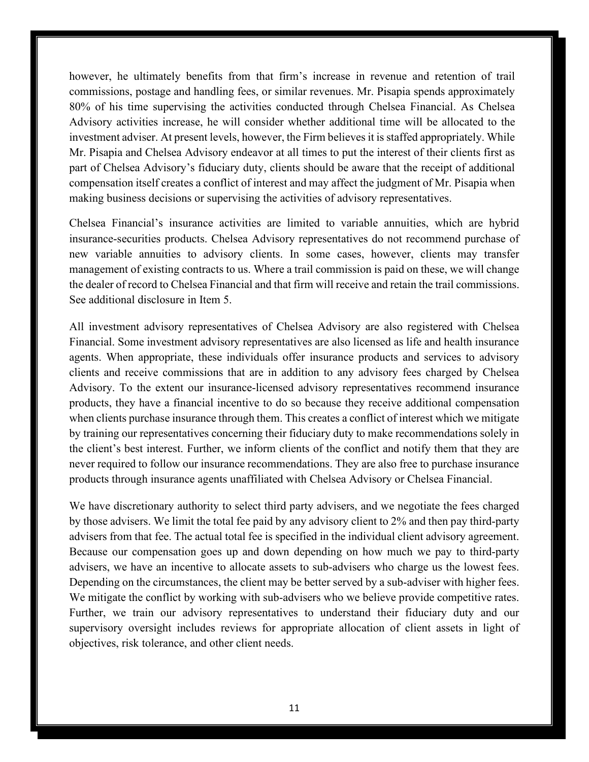however, he ultimately benefits from that firm's increase in revenue and retention of trail commissions, postage and handling fees, or similar revenues. Mr. Pisapia spends approximately 80% of his time supervising the activities conducted through Chelsea Financial. As Chelsea Advisory activities increase, he will consider whether additional time will be allocated to the investment adviser. At present levels, however, the Firm believes it is staffed appropriately. While Mr. Pisapia and Chelsea Advisory endeavor at all times to put the interest of their clients first as part of Chelsea Advisory's fiduciary duty, clients should be aware that the receipt of additional compensation itself creates a conflict of interest and may affect the judgment of Mr. Pisapia when making business decisions or supervising the activities of advisory representatives.

Chelsea Financial's insurance activities are limited to variable annuities, which are hybrid insurance-securities products. Chelsea Advisory representatives do not recommend purchase of new variable annuities to advisory clients. In some cases, however, clients may transfer management of existing contracts to us. Where a trail commission is paid on these, we will change the dealer of record to Chelsea Financial and that firm will receive and retain the trail commissions. See additional disclosure in Item 5.

All investment advisory representatives of Chelsea Advisory are also registered with Chelsea Financial. Some investment advisory representatives are also licensed as life and health insurance agents. When appropriate, these individuals offer insurance products and services to advisory clients and receive commissions that are in addition to any advisory fees charged by Chelsea Advisory. To the extent our insurance-licensed advisory representatives recommend insurance products, they have a financial incentive to do so because they receive additional compensation when clients purchase insurance through them. This creates a conflict of interest which we mitigate by training our representatives concerning their fiduciary duty to make recommendations solely in the client's best interest. Further, we inform clients of the conflict and notify them that they are never required to follow our insurance recommendations. They are also free to purchase insurance products through insurance agents unaffiliated with Chelsea Advisory or Chelsea Financial.

We have discretionary authority to select third party advisers, and we negotiate the fees charged by those advisers. We limit the total fee paid by any advisory client to 2% and then pay third-party advisers from that fee. The actual total fee is specified in the individual client advisory agreement. Because our compensation goes up and down depending on how much we pay to third-party advisers, we have an incentive to allocate assets to sub-advisers who charge us the lowest fees. Depending on the circumstances, the client may be better served by a sub-adviser with higher fees. We mitigate the conflict by working with sub-advisers who we believe provide competitive rates. Further, we train our advisory representatives to understand their fiduciary duty and our supervisory oversight includes reviews for appropriate allocation of client assets in light of objectives, risk tolerance, and other client needs.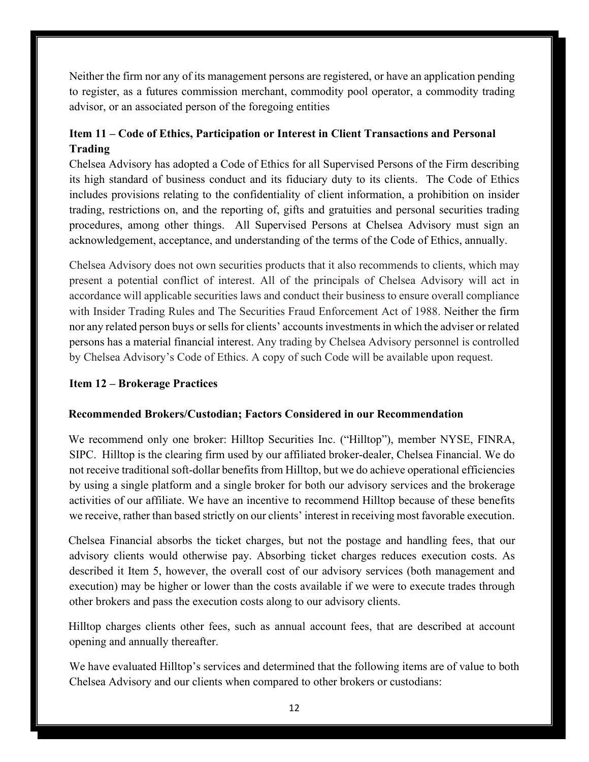Neither the firm nor any of its management persons are registered, or have an application pending to register, as a futures commission merchant, commodity pool operator, a commodity trading advisor, or an associated person of the foregoing entities

## <span id="page-11-0"></span>**Item 11 – Code of Ethics, Participation or Interest in Client Transactions and Personal Trading**

Chelsea Advisory has adopted a Code of Ethics for all Supervised Persons of the Firm describing its high standard of business conduct and its fiduciary duty to its clients. The Code of Ethics includes provisions relating to the confidentiality of client information, a prohibition on insider trading, restrictions on, and the reporting of, gifts and gratuities and personal securities trading procedures, among other things. All Supervised Persons at Chelsea Advisory must sign an acknowledgement, acceptance, and understanding of the terms of the Code of Ethics, annually.

Chelsea Advisory does not own securities products that it also recommends to clients, which may present a potential conflict of interest. All of the principals of Chelsea Advisory will act in accordance will applicable securities laws and conduct their business to ensure overall compliance with Insider Trading Rules and The Securities Fraud Enforcement Act of 1988. Neither the firm nor any related person buys or sells for clients' accounts investments in which the adviser or related persons has a material financial interest. Any trading by Chelsea Advisory personnel is controlled by Chelsea Advisory's Code of Ethics. A copy of such Code will be available upon request.

## <span id="page-11-1"></span>**Item 12 – Brokerage Practices**

## **Recommended Brokers/Custodian; Factors Considered in our Recommendation**

We recommend only one broker: Hilltop Securities Inc. ("Hilltop"), member NYSE, FINRA, SIPC. Hilltop is the clearing firm used by our affiliated broker-dealer, Chelsea Financial. We do not receive traditional soft-dollar benefits from Hilltop, but we do achieve operational efficiencies by using a single platform and a single broker for both our advisory services and the brokerage activities of our affiliate. We have an incentive to recommend Hilltop because of these benefits we receive, rather than based strictly on our clients' interest in receiving most favorable execution.

Chelsea Financial absorbs the ticket charges, but not the postage and handling fees, that our advisory clients would otherwise pay. Absorbing ticket charges reduces execution costs. As described it Item 5, however, the overall cost of our advisory services (both management and execution) may be higher or lower than the costs available if we were to execute trades through other brokers and pass the execution costs along to our advisory clients.

Hilltop charges clients other fees, such as annual account fees, that are described at account opening and annually thereafter.

We have evaluated Hilltop's services and determined that the following items are of value to both Chelsea Advisory and our clients when compared to other brokers or custodians: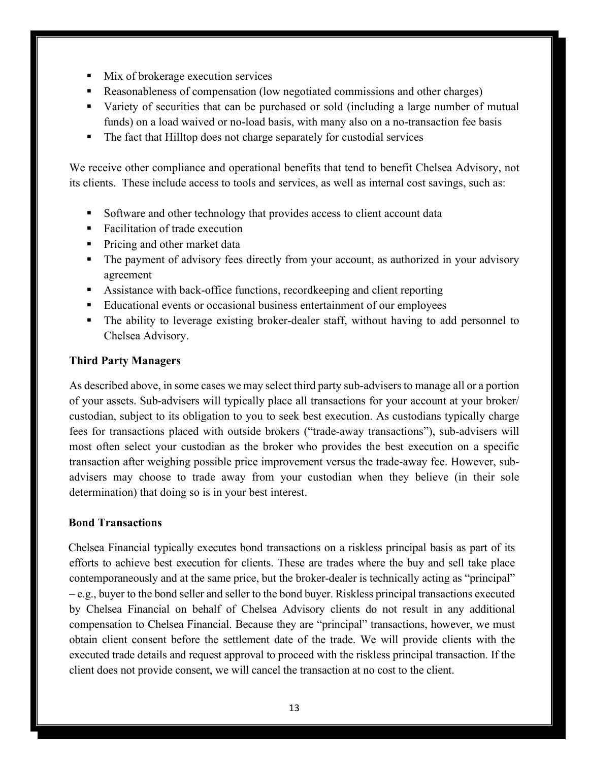- Mix of brokerage execution services
- Reasonableness of compensation (low negotiated commissions and other charges)
- Variety of securities that can be purchased or sold (including a large number of mutual funds) on a load waived or no-load basis, with many also on a no-transaction fee basis
- The fact that Hilltop does not charge separately for custodial services

We receive other compliance and operational benefits that tend to benefit Chelsea Advisory, not its clients. These include access to tools and services, as well as internal cost savings, such as:

- Software and other technology that provides access to client account data
- Facilitation of trade execution
- Pricing and other market data
- The payment of advisory fees directly from your account, as authorized in your advisory agreement
- Assistance with back-office functions, recordkeeping and client reporting
- Educational events or occasional business entertainment of our employees
- The ability to leverage existing broker-dealer staff, without having to add personnel to Chelsea Advisory.

## **Third Party Managers**

As described above, in some cases we may select third party sub-advisers to manage all or a portion of your assets. Sub-advisers will typically place all transactions for your account at your broker/ custodian, subject to its obligation to you to seek best execution. As custodians typically charge fees for transactions placed with outside brokers ("trade-away transactions"), sub-advisers will most often select your custodian as the broker who provides the best execution on a specific transaction after weighing possible price improvement versus the trade-away fee. However, subadvisers may choose to trade away from your custodian when they believe (in their sole determination) that doing so is in your best interest.

## **Bond Transactions**

Chelsea Financial typically executes bond transactions on a riskless principal basis as part of its efforts to achieve best execution for clients. These are trades where the buy and sell take place contemporaneously and at the same price, but the broker-dealer is technically acting as "principal" – e.g., buyer to the bond seller and seller to the bond buyer. Riskless principal transactions executed by Chelsea Financial on behalf of Chelsea Advisory clients do not result in any additional compensation to Chelsea Financial. Because they are "principal" transactions, however, we must obtain client consent before the settlement date of the trade. We will provide clients with the executed trade details and request approval to proceed with the riskless principal transaction. If the client does not provide consent, we will cancel the transaction at no cost to the client.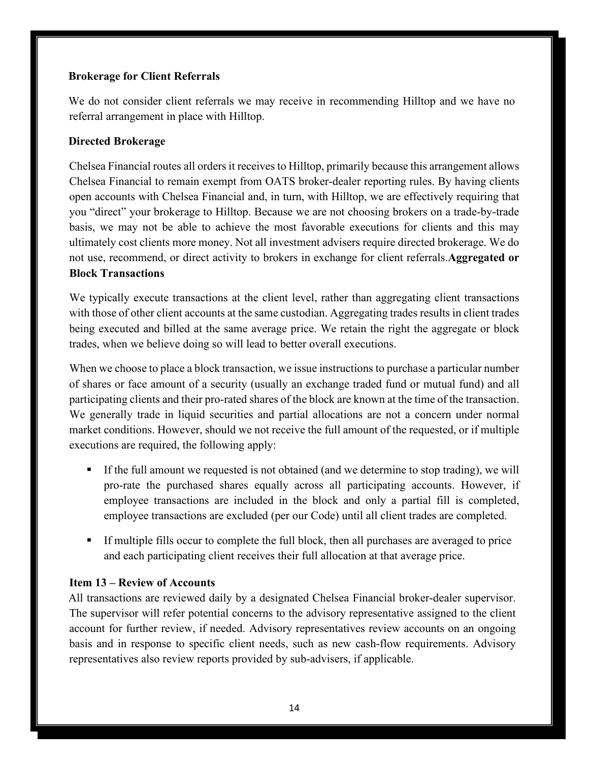## **Brokerage for Client Referrals**

We do not consider client referrals we may receive in recommending Hilltop and we have no referral arrangement in place with Hilltop.

## **Directed Brokerage**

Chelsea Financial routes all orders it receives to Hilltop, primarily because this arrangement allows Chelsea Financial to remain exempt from OATS broker-dealer reporting rules. By having clients open accounts with Chelsea Financial and, in turn, with Hilltop, we are effectively requiring that you "direct" your brokerage to Hilltop. Because we are not choosing brokers on a trade-by-trade basis, we may not be able to achieve the most favorable executions for clients and this may ultimately cost clients more money. Not all investment advisers require directed brokerage. We do not use, recommend, or direct activity to brokers in exchange for client referrals.**Aggregated or Block Transactions** 

We typically execute transactions at the client level, rather than aggregating client transactions with those of other client accounts at the same custodian. Aggregating trades results in client trades being executed and billed at the same average price. We retain the right the aggregate or block trades, when we believe doing so will lead to better overall executions.

When we choose to place a block transaction, we issue instructions to purchase a particular number of shares or face amount of a security (usually an exchange traded fund or mutual fund) and all participating clients and their pro-rated shares of the block are known at the time of the transaction. We generally trade in liquid securities and partial allocations are not a concern under normal market conditions. However, should we not receive the full amount of the requested, or if multiple executions are required, the following apply:

- If the full amount we requested is not obtained (and we determine to stop trading), we will pro-rate the purchased shares equally across all participating accounts. However, if employee transactions are included in the block and only a partial fill is completed, employee transactions are excluded (per our Code) until all client trades are completed.
- If multiple fills occur to complete the full block, then all purchases are averaged to price and each participating client receives their full allocation at that average price.

## <span id="page-13-0"></span>**Item 13 – Review of Accounts**

All transactions are reviewed daily by a designated Chelsea Financial broker-dealer supervisor. The supervisor will refer potential concerns to the advisory representative assigned to the client account for further review, if needed. Advisory representatives review accounts on an ongoing basis and in response to specific client needs, such as new cash-flow requirements. Advisory representatives also review reports provided by sub-advisers, if applicable.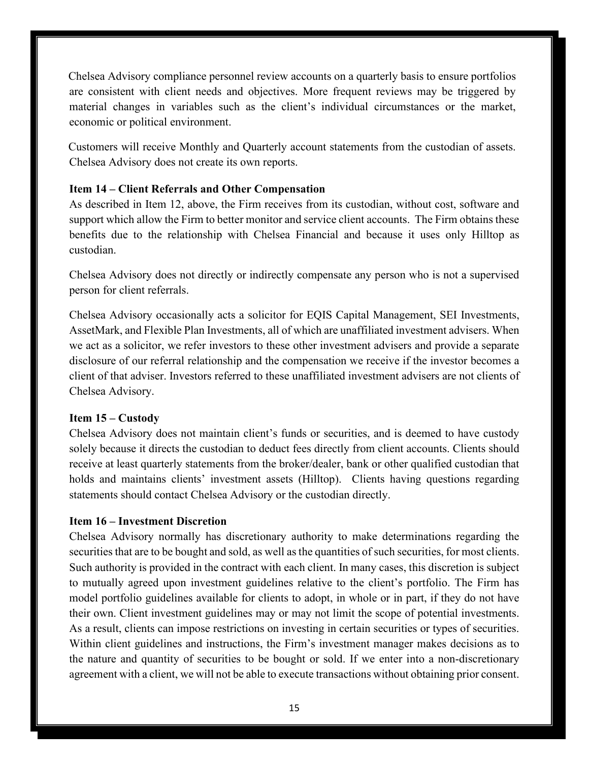Chelsea Advisory compliance personnel review accounts on a quarterly basis to ensure portfolios are consistent with client needs and objectives. More frequent reviews may be triggered by material changes in variables such as the client's individual circumstances or the market, economic or political environment.

Customers will receive Monthly and Quarterly account statements from the custodian of assets. Chelsea Advisory does not create its own reports.

## <span id="page-14-0"></span>**Item 14 – Client Referrals and Other Compensation**

As described in Item 12, above, the Firm receives from its custodian, without cost, software and support which allow the Firm to better monitor and service client accounts. The Firm obtains these benefits due to the relationship with Chelsea Financial and because it uses only Hilltop as custodian.

Chelsea Advisory does not directly or indirectly compensate any person who is not a supervised person for client referrals.

Chelsea Advisory occasionally acts a solicitor for EQIS Capital Management, SEI Investments, AssetMark, and Flexible Plan Investments, all of which are unaffiliated investment advisers. When we act as a solicitor, we refer investors to these other investment advisers and provide a separate disclosure of our referral relationship and the compensation we receive if the investor becomes a client of that adviser. Investors referred to these unaffiliated investment advisers are not clients of Chelsea Advisory.

## <span id="page-14-1"></span>**Item 15 – Custody**

Chelsea Advisory does not maintain client's funds or securities, and is deemed to have custody solely because it directs the custodian to deduct fees directly from client accounts. Clients should receive at least quarterly statements from the broker/dealer, bank or other qualified custodian that holds and maintains clients' investment assets (Hilltop). Clients having questions regarding statements should contact Chelsea Advisory or the custodian directly.

## <span id="page-14-2"></span>**Item 16 – Investment Discretion**

Chelsea Advisory normally has discretionary authority to make determinations regarding the securities that are to be bought and sold, as well as the quantities of such securities, for most clients. Such authority is provided in the contract with each client. In many cases, this discretion is subject to mutually agreed upon investment guidelines relative to the client's portfolio. The Firm has model portfolio guidelines available for clients to adopt, in whole or in part, if they do not have their own. Client investment guidelines may or may not limit the scope of potential investments. As a result, clients can impose restrictions on investing in certain securities or types of securities. Within client guidelines and instructions, the Firm's investment manager makes decisions as to the nature and quantity of securities to be bought or sold. If we enter into a non-discretionary agreement with a client, we will not be able to execute transactions without obtaining prior consent.